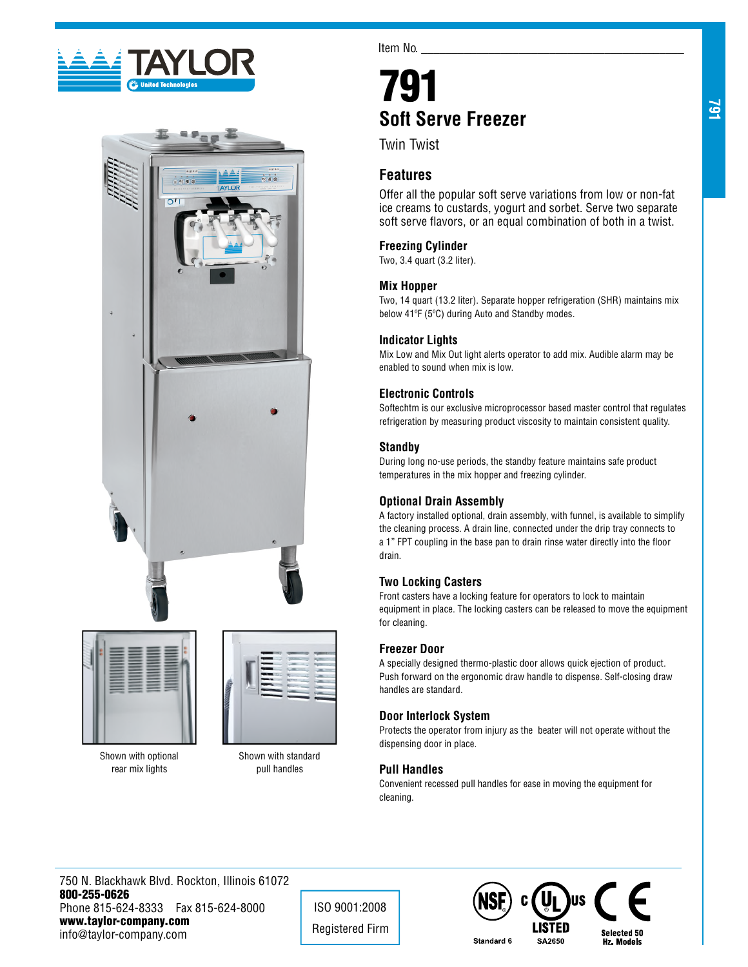





Shown with optional rear mix lights



Item No.

# 791 **Soft Serve Freezer**

Twin Twist

## **Features**

Offer all the popular soft serve variations from low or non-fat ice creams to custards, yogurt and sorbet. Serve two separate soft serve flavors, or an equal combination of both in a twist.

## **Freezing Cylinder**

Two, 3.4 quart (3.2 liter).

## **Mix Hopper**

Two, 14 quart (13.2 liter). Separate hopper refrigeration (SHR) maintains mix below 41ºF (5ºC) during Auto and Standby modes.

#### **Indicator Lights**

Mix Low and Mix Out light alerts operator to add mix. Audible alarm may be enabled to sound when mix is low.

## **Electronic Controls**

Softechtm is our exclusive microprocessor based master control that regulates refrigeration by measuring product viscosity to maintain consistent quality.

#### **Standby**

During long no-use periods, the standby feature maintains safe product temperatures in the mix hopper and freezing cylinder.

## **Optional Drain Assembly**

A factory installed optional, drain assembly, with funnel, is available to simplify the cleaning process. A drain line, connected under the drip tray connects to a 1" FPT coupling in the base pan to drain rinse water directly into the floor drain.

## **Two Locking Casters**

Front casters have a locking feature for operators to lock to maintain equipment in place. The locking casters can be released to move the equipment for cleaning.

## **Freezer Door**

A specially designed thermo-plastic door allows quick ejection of product. Push forward on the ergonomic draw handle to dispense. Self-closing draw handles are standard.

## **Door Interlock System**

Protects the operator from injury as the beater will not operate without the dispensing door in place.

## **Pull Handles**

Convenient recessed pull handles for ease in moving the equipment for cleaning.

750 N. Blackhawk Blvd. Rockton, Illinois 61072 800-255-0626 Phone 815-624-8333 Fax 815-624-8000 www.taylor-company.com info@taylor-company.com

ISO 9001:2008 Registered Firm